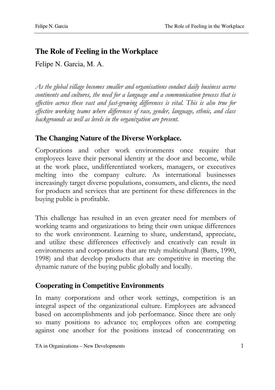# **The Role of Feeling in the Workplace**

Felipe N. Garcia, M. A.

As the global village becomes smaller and organisations conduct daily business accros continents and cultures, the need for a language and a communication process that is effective across these vast and fast-growing differences is vital. This is also true for effective working teams where differences of race, gender, language, ethnic, and class backgrounds as well as levels in the organization are present.

### **The Changing Nature of the Diverse Workplace.**

Corporations and other work environments once require that employees leave their personal identity at the door and become, while at the work place, undifferentiated workers, managers, or executives melting into the company culture. As international businesses increasingly target diverse populations, consumers, and clients, the need for products and services that are pertinent for these differences in the buying public is profitable.

This challenge has resulted in an even greater need for members of working teams and organizations to bring their own unique differences to the work environment. Learning to share, understand, appreciate, and utilize these differences effectively and creatively can result in environments and corporations that are truly multicultural (Batts, 1990, 1998) and that develop products that are competitive in meeting the dynamic nature of the buying public globally and locally.

### **Cooperating in Competitive Environments**

In many corporations and other work settings, competition is an integral aspect of the organizational culture. Employees are advanced based on accomplishments and job performance. Since there are only so many positions to advance to; employees often are competing against one another for the positions instead of concentrating on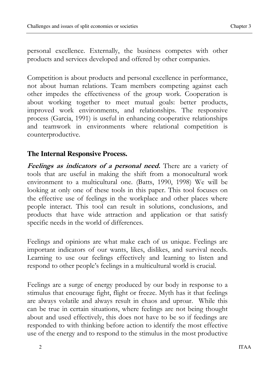personal excellence. Externally, the business competes with other products and services developed and offered by other companies.

Competition is about products and personal excellence in performance, not about human relations. Team members competing against each other impedes the effectiveness of the group work. Cooperation is about working together to meet mutual goals: better products, improved work environments, and relationships. The responsive process (Garcia, 1991) is useful in enhancing cooperative relationships and teamwork in environments where relational competition is counterproductive.

#### **The Internal Responsive Process.**

Feelings as indicators of a personal need. There are a variety of tools that are useful in making the shift from a monocultural work environment to a multicultural one. (Batts, 1990, 1998) We will be looking at only one of these tools in this paper. This tool focuses on the effective use of feelings in the workplace and other places where people interact. This tool can result in solutions, conclusions, and products that have wide attraction and application or that satisfy specific needs in the world of differences.

Feelings and opinions are what make each of us unique. Feelings are important indicators of our wants, likes, dislikes, and survival needs. Learning to use our feelings effectively and learning to listen and respond to other people's feelings in a multicultural world is crucial.

Feelings are a surge of energy produced by our body in response to a stimulus that encourage fight, flight or freeze. Myth has it that feelings are always volatile and always result in chaos and uproar. While this can be true in certain situations, where feelings are not being thought about and used effectively, this does not have to be so if feedings are responded to with thinking before action to identify the most effective use of the energy and to respond to the stimulus in the most productive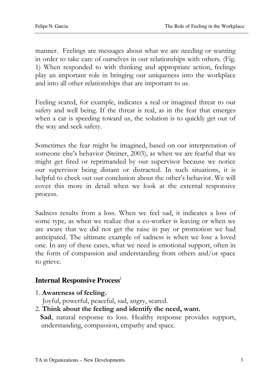manner. Feelings are messages about what we are needing or wanting in order to take care of ourselves in our relationships with others. (Fig. 1) When responded to with thinking and appropriate action, feelings play an important role in bringing our uniqueness into the workplace and into all other relationships that are important to us.

Feeling scared, for example, indicates a real or imagined threat to our safety and well being. If the threat is real, as in the fear that emerges when a car is speeding toward us, the solution is to quickly get out of the way and seek safety.

Sometimes the fear might be imagined, based on our interpretation of someone else's behavior (Steiner, 2003), as when we are fearful that we might get fired or reprimanded by our supervisor because we notice our supervisor being distant or distracted. In such situations, it is helpful to check out our conclusion about the other's behavior. We will cover this more in detail when we look at the external responsive process.

Sadness results from a loss. When we feel sad, it indicates a loss of some type, as when we realize that a co-worker is leaving or when we are aware that we did not get the raise in pay or promotion we had anticipated. The ultimate example of sadness is when we lose a loved one. In any of these cases, what we need is emotional support, often in the form of compassion and understanding from others and/or space to grieve.

### **Internal Responsive Process**<sup>i</sup>

1. Awareness of feeling.

Joyful, powerful, peaceful, sad, angry, scared.

2. Think about the feeling and identify the need, want.

Sad, natural response to loss. Healthy response provides support, understanding, compassion, empathy and space.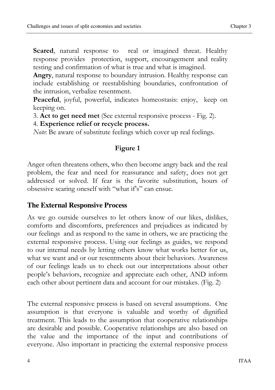Scared, natural response to real or imagined threat. Healthy response provides protection, support, encouragement and reality testing and confirmation of what is true and what is imagined.

Angry, natural response to boundary intrusion. Healthy response can include establishing or reestablishing boundaries, confrontation of the intrusion, verbalize resentment.

Peaceful, joyful, powerful, indicates homeostasis: enjoy, keep on keeping on.

3. Act to get need met (See external responsive process - Fig. 2).

4. Experience relief or recycle process.

Note: Be aware of substitute feelings which cover up real feelings.

#### Figure 1

Anger often threatens others, who then become angry back and the real problem, the fear and need for reassurance and safety, does not get addressed or solved. If fear is the favorite substitution, hours of obsessive scaring oneself with "what if's" can ensue.

#### **The External Responsive Process**

As we go outside ourselves to let others know of our likes, dislikes, comforts and discomforts, preferences and prejudices as indicated by our feelings and as respond to the same in others, we are practicing the external responsive process. Using our feelings as guides, we respond to our internal needs by letting others know what works better for us, what we want and or our resentments about their behaviors. Awareness of our feelings leads us to check out our interpretations about other people's behaviors, recognize and appreciate each other, AND inform each other about pertinent data and account for our mistakes. (Fig. 2)

The external responsive process is based on several assumptions. One assumption is that everyone is valuable and worthy of dignified treatment. This leads to the assumption that cooperative relationships are desirable and possible. Cooperative relationships are also based on the value and the importance of the input and contributions of everyone. Also important in practicing the external responsive process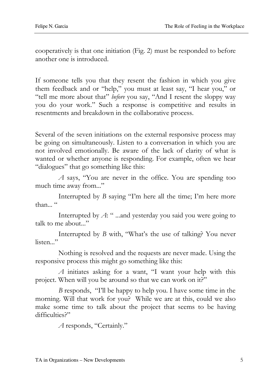cooperatively is that one initiation (Fig. 2) must be responded to before another one is introduced.

If someone tells you that they resent the fashion in which you give them feedback and or "help," you must at least say, "I hear you," or "tell me more about that" before you say, "And I resent the sloppy way you do your work." Such a response is competitive and results in resentments and breakdown in the collaborative process.

Several of the seven initiations on the external responsive process may be going on simultaneously. Listen to a conversation in which you are not involved emotionally. Be aware of the lack of clarity of what is wanted or whether anyone is responding. For example, often we hear "dialogues" that go something like this:

A says, "You are never in the office. You are spending too much time away from..."

 Interrupted by B saying "I'm here all the time; I'm here more than..."

 Interrupted by A: " ...and yesterday you said you were going to talk to me about..."

 Interrupted by B with, "What's the use of talking? You never listen..."

 Nothing is resolved and the requests are never made. Using the responsive process this might go something like this:

A initiates asking for a want, "I want your help with this project. When will you be around so that we can work on it?"

B responds, "I'll be happy to help you. I have some time in the morning. Will that work for you? While we are at this, could we also make some time to talk about the project that seems to be having difficulties?"

A responds, "Certainly."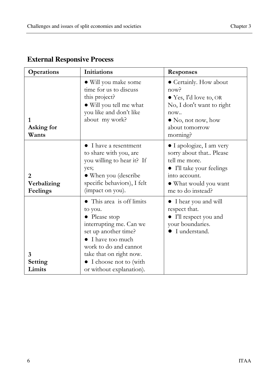| <b>Operations</b>            | <b>Initiations</b>                                                                                                                                                                                                                               | <b>Responses</b>                                                                                                                                                              |
|------------------------------|--------------------------------------------------------------------------------------------------------------------------------------------------------------------------------------------------------------------------------------------------|-------------------------------------------------------------------------------------------------------------------------------------------------------------------------------|
| 1<br>Asking for<br>Wants     | • Will you make some<br>time for us to discuss<br>this project?<br>• Will you tell me what<br>you like and don't like<br>about my work?                                                                                                          | • Certainly. How about<br>now <sup>2</sup><br>$\bullet$ Yes, I'd love to, OR<br>No, I don't want to right<br>now.<br>$\bullet$ No, not now, how<br>about tomorrow<br>morning? |
| 2<br>Verbalizing<br>Feelings | I have a resentment<br>to share with you, are<br>you willing to hear it? If<br>yes;<br>• When you (describe<br>specific behaviors), I felt<br>(impact on you).                                                                                   | • I apologize, I am very<br>sorry about that Please<br>tell me more.<br>• I'll take your feelings<br>into account.<br>• What would you want<br>me to do instead?              |
| 3<br>Setting<br>Limits       | • This area is off limits<br>to you.<br>$\bullet$ Please stop<br>interrupting me. Can we<br>set up another time?<br>• I have too much<br>work to do and cannot<br>take that on right now.<br>• I choose not to (with<br>or without explanation). | • I hear you and will<br>respect that.<br>I'll respect you and<br>your boundaries.<br>I understand.                                                                           |

## **External Responsive Process**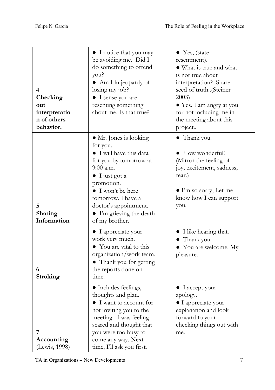| 4<br>Checking<br>out<br>interpretatio<br>n of others<br>behavior. | • I notice that you may<br>be avoiding me. Did I<br>do something to offend<br>you?<br>• Am I in jeopardy of<br>losing my job?<br>• I sense you are<br>resenting something<br>about me. Is that true?                                                                     | $\bullet$ Yes, (state<br>resentment).<br>• What is true and what<br>is not true about<br>interpretation? Share<br>seed of truth(Steiner<br>2003)<br>• Yes. I am angry at you<br>for not including me in<br>the meeting about this<br>project |
|-------------------------------------------------------------------|--------------------------------------------------------------------------------------------------------------------------------------------------------------------------------------------------------------------------------------------------------------------------|----------------------------------------------------------------------------------------------------------------------------------------------------------------------------------------------------------------------------------------------|
| 5<br>Sharing<br>Information                                       | • Mr. Jones is looking<br>for you.<br>• I will have this data<br>for you by tomorrow at<br>$9:00$ a.m.<br>$\bullet$ I just got a<br>promotion.<br>$\bullet$ I won't be here<br>tomorrow. I have a<br>doctor's appointment.<br>• I'm grieving the death<br>of my brother. | Thank you.<br>$\bullet$ How wonderful!<br>(Mirror the feeling of<br>joy, excitement, sadness,<br>fear.)<br>$\bullet$ I'm so sorry, Let me<br>know how I can support<br>you.                                                                  |
| 6<br><b>Stroking</b>                                              | • I appreciate your<br>work very much.<br>• You are vital to this<br>organization/work team.<br>• Thank you for getting<br>the reports done on<br>time.                                                                                                                  | • I like hearing that.<br>• Thank you.<br>• You are welcome. My<br>pleasure.                                                                                                                                                                 |
| 7<br>Accounting<br>(Lewis, 1998)                                  | • Includes feelings,<br>thoughts and plan.<br>$\bullet$ I want to account for<br>not inviting you to the<br>meeting. I was feeling<br>scared and thought that<br>you were too busy to<br>come any way. Next<br>time, I'll ask you first.                                 | $\bullet$ I accept your<br>apology.<br>• I appreciate your<br>explanation and look<br>forward to your<br>checking things out with<br>me.                                                                                                     |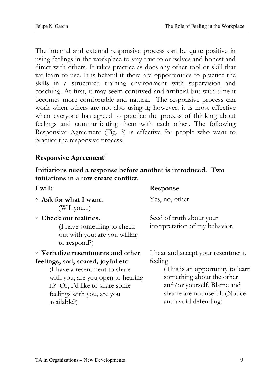The internal and external responsive process can be quite positive in using feelings in the workplace to stay true to ourselves and honest and direct with others. It takes practice as does any other tool or skill that we learn to use. It is helpful if there are opportunities to practice the skills in a structured training environment with supervision and coaching. At first, it may seem contrived and artificial but with time it becomes more comfortable and natural. The responsive process can work when others are not also using it; however, it is most effective when everyone has agreed to practice the process of thinking about feelings and communicating them with each other. The following Responsive Agreement (Fig. 3) is effective for people who want to practice the responsive process.

#### **Responsive Agreement**ii

Initiations need a response before another is introduced. Two initiations in a row create conflict.

| I will:                                                                                                                                                                                                                      | Response                                                                                                                                                                                                |
|------------------------------------------------------------------------------------------------------------------------------------------------------------------------------------------------------------------------------|---------------------------------------------------------------------------------------------------------------------------------------------------------------------------------------------------------|
| $\circ$ Ask for what I want.<br>(Will you)                                                                                                                                                                                   | Yes, no, other                                                                                                                                                                                          |
| • Check out realities.<br>(I have something to check<br>out with you; are you willing<br>to respond?)                                                                                                                        | Seed of truth about your<br>interpretation of my behavior.                                                                                                                                              |
| • Verbalize resentments and other<br>feelings, sad, scared, joyful etc.<br>(I have a resentment to share<br>with you; are you open to hearing<br>it? Or, I'd like to share some<br>feelings with you, are you<br>available?) | I hear and accept your resentment,<br>feeling.<br>(This is an opportunity to learn)<br>something about the other<br>and/or yourself. Blame and<br>shame are not useful. (Notice<br>and avoid defending) |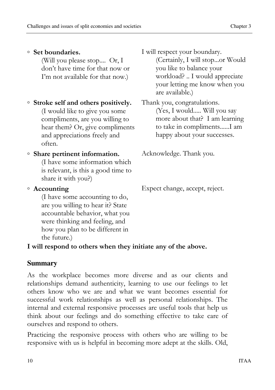## ◦ Set boundaries.

(Will you please stop.... Or, I don't have time for that now or I'm not available for that now.)

### ◦ Stroke self and others positively.

(I would like to give you some compliments, are you willing to hear them? Or, give compliments and appreciations freely and often.

## ◦ Share pertinent information.

(I have some information which is relevant, is this a good time to share it with you?)

### ◦ Accounting

(I have some accounting to do, are you willing to hear it? State accountable behavior, what you were thinking and feeling, and how you plan to be different in the future.)

#### I will respect your boundary. (Certainly, I will stop...or Would you like to balance your workload? .. I would appreciate your letting me know when you are available.)

Thank you, congratulations. (Yes, I would..... Will you say more about that? I am learning to take in compliments......I am happy about your successes.

Acknowledge. Thank you.

Expect change, accept, reject.

## I will respond to others when they initiate any of the above.

## **Summary**

As the workplace becomes more diverse and as our clients and relationships demand authenticity, learning to use our feelings to let others know who we are and what we want becomes essential for successful work relationships as well as personal relationships. The internal and external responsive processes are useful tools that help us think about our feelings and do something effective to take care of ourselves and respond to others.

Practicing the responsive process with others who are willing to be responsive with us is helpful in becoming more adept at the skills. Old,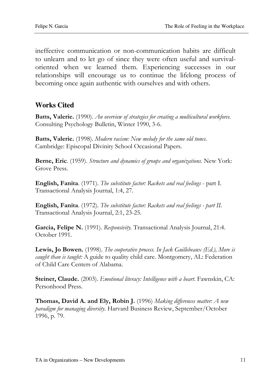ineffective communication or non-communication habits are difficult to unlearn and to let go of since they were often useful and survivaloriented when we learned them. Experiencing successes in our relationships will encourage us to continue the lifelong process of becoming once again authentic with ourselves and with others.

### **Works Cited**

Batts, Valerie. (1990). An overview of strategies for creating a multicultural workforce. Consulting Psychology Bulletin, Winter 1990, 3-6.

Batts, Valerie. (1998). Modern racism: New melody for the same old tunes. Cambridge: Episcopal Divinity School Occasional Papers.

Berne, Eric. (1959). Structure and dynamics of groups and organizations. New York: Grove Press.

English, Fanita. (1971). The substitute factor: Rackets and real feelings - part I. Transactional Analysis Journal, 1:4, 27.

English, Fanita. (1972). The substitute factor: Rackets and real feelings - part II. Transactional Analysis Journal, 2:1, 23-25.

Garcia, Felipe N. (1991). Responsivity. Transactional Analysis Journal, 21:4. October 1991.

Lewis, Jo Bowen. (1998). The cooperative process. In Jack Guillebeaux (Ed.), More is caught than is taught: A guide to quality child care. Montgomery, AL: Federation of Child Care Centers of Alabama.

Steiner, Claude. (2003). Emotional literacy: Intelligence with a heart. Fawnskin, CA: Personhood Press.

Thomas, David A. and Ely, Robin J. (1996) Making differences matter: A new paradigm for managing diversity. Harvard Business Review, September/October 1996, p. 79.